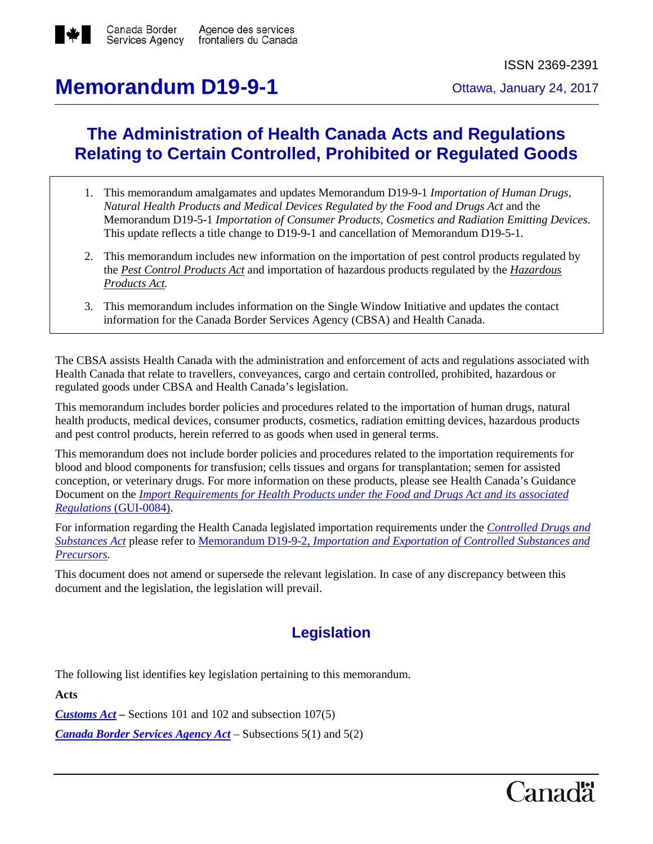

# **Memorandum D19-9-1** Ottawa, January 24, 2017

## **The Administration of Health Canada Acts and Regulations Relating to Certain Controlled, Prohibited or Regulated Goods**

- 1. This memorandum amalgamates and updates Memorandum D19-9-1 *Importation of Human Drugs, Natural Health Products and Medical Devices Regulated by the Food and Drugs Act* and the Memorandum D19-5-1 *Importation of Consumer Products, Cosmetics and Radiation Emitting Devices*. This update reflects a title change to D19-9-1 and cancellation of Memorandum D19-5-1.
- 2. This memorandum includes new information on the importation of pest control products regulated by the *[Pest Control Products Act](http://www.laws-lois.justice.gc.ca/eng/acts/P-9.01/)* and importation of hazardous products regulated by the *[Hazardous](http://laws-lois.justice.gc.ca/eng/acts/H-3)  [Products Act.](http://laws-lois.justice.gc.ca/eng/acts/H-3)*
- 3. This memorandum includes information on the Single Window Initiative and updates the contact information for the Canada Border Services Agency (CBSA) and Health Canada.

The CBSA assists Health Canada with the administration and enforcement of acts and regulations associated with Health Canada that relate to travellers, conveyances, cargo and certain controlled, prohibited, hazardous or regulated goods under CBSA and Health Canada's legislation.

This memorandum includes border policies and procedures related to the importation of human drugs, natural health products, medical devices, consumer products, cosmetics, radiation emitting devices, hazardous products and pest control products, herein referred to as goods when used in general terms.

This memorandum does not include border policies and procedures related to the importation requirements for blood and blood components for transfusion; cells tissues and organs for transplantation; semen for assisted conception, or veterinary drugs. For more information on these products, please see Health Canada's Guidance Document on the *[Import Requirements for Health Products under the Food and Drugs Act](http://www.hc-sc.gc.ca/dhp-mps/compli-conform/import-export/gui-0084_biu-uif-eng.php) and its associated Regulations* [\(GUI-0084\).](http://www.hc-sc.gc.ca/dhp-mps/compli-conform/import-export/gui-0084_biu-uif-eng.php)

For information regarding the Health Canada legislated importation requirements under the *[Controlled Drugs and](http://laws-lois.justice.gc.ca/eng/acts/c-38.8/)  [Substances Act](http://laws-lois.justice.gc.ca/eng/acts/c-38.8/)* please refer to Memorandum D19-9-2, *[Importation and Exportation of Controlled Substances and](http://www.cbsa-asfc.gc.ca/publications/dm-md/d19/d19-9-2-eng.html)  [Precursors.](http://www.cbsa-asfc.gc.ca/publications/dm-md/d19/d19-9-2-eng.html)*

This document does not amend or supersede the relevant legislation. In case of any discrepancy between this document and the legislation, the legislation will prevail.

## **Legislation**

The following list identifies key legislation pertaining to this memorandum.

**Acts**

*[Customs Act](http://laws-lois.justice.gc.ca/eng/acts/C-52.6/) –* Sections 101 and 102 and subsection 107(5)

*[Canada Border Services Agency Act](http://laws-lois.justice.gc.ca/eng/acts/C-1.4/)* – Subsections 5(1) and 5(2)

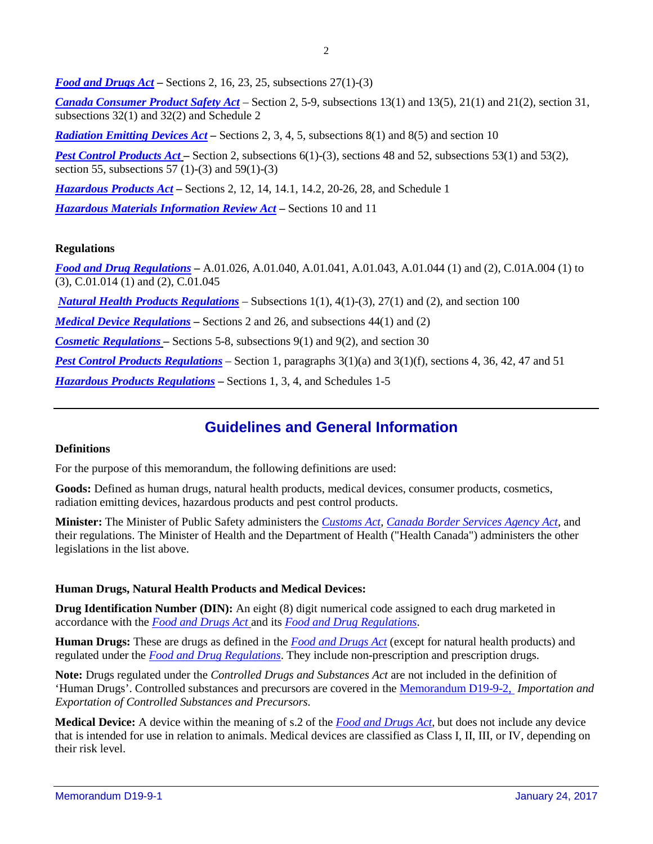*[Food and Drugs Act](http://laws-lois.justice.gc.ca/eng/acts/f-27/)* **–** Sections 2, 16, 23, 25, subsections 27(1)-(3)

*[Canada Consumer Product Safety Act](http://laws-lois.justice.gc.ca/eng/acts/c-1.68/)* – Section 2, 5-9, subsections 13(1) and 13(5), 21(1) and 21(2), section 31, subsections 32(1) and 32(2) and Schedule 2

*[Radiation Emitting Devices Act](http://laws-lois.justice.gc.ca/eng/acts/R-1/)* – Sections 2, 3, 4, 5, subsections 8(1) and 8(5) and section 10

*[Pest Control Products Act](http://laws-lois.justice.gc.ca/eng/acts/P-9.01/)* – Section 2, subsections 6(1)-(3), sections 48 and 52, subsections 53(1) and 53(2), section 55, subsections 57 (1)-(3) and 59(1)-(3)

*[Hazardous Products Act](http://laws-lois.justice.gc.ca/eng/acts/H-3/)* **–** Sections 2, 12, 14, 14.1, 14.2, 20-26, 28, and Schedule 1

*[Hazardous Materials Information Review Act](http://laws-lois.justice.gc.ca/eng/acts/H-2.7/)* **–** Sections 10 and 11

## **Regulations**

*[Food and Drug Regulations](http://laws-lois.justice.gc.ca/eng/regulations/c.r.c.,_c._870/)* **–** A.01.026, A.01.040, A.01.041, A.01.043, A.01.044 (1) and (2), C.01A.004 (1) to (3), C.01.014 (1) and (2), C.01.045

*[Natural Health Products Regulations](http://laws-lois.justice.gc.ca/eng/regulations/sor-2003-196/)* – Subsections 1(1), 4(1)-(3), 27(1) and (2), and section 100

*[Medical Device Regulations](http://laws-lois.justice.gc.ca/eng/regulations/SOR-98-282/)* – Sections 2 and 26, and subsections 44(1) and (2)

*[Cosmetic Regulations](http://laws-lois.justice.gc.ca/eng/regulations/C.R.C.,_c._869/)* – Sections 5-8, subsections 9(1) and 9(2), and section 30

*[Pest Control Products Regulations](http://laws-lois.justice.gc.ca/eng/regulations/sor-2006-124/)* – Section 1, paragraphs 3(1)(a) and 3(1)(f), sections 4, 36, 42, 47 and 51

*[Hazardous Products Regulations](http://laws-lois.justice.gc.ca/eng/regulations/SOR-2015-17/)* **–** Sections 1, 3, 4, and Schedules 1-5

## **Guidelines and General Information**

## **Definitions**

For the purpose of this memorandum, the following definitions are used:

**Goods:** Defined as human drugs, natural health products, medical devices, consumer products, cosmetics, radiation emitting devices, hazardous products and pest control products.

**Minister:** The Minister of Public Safety administers the *[Customs Act](http://laws-lois.justice.gc.ca/eng/acts/C-52.6/)*, *[Canada Border Services Agency Act](http://laws-lois.justice.gc.ca/eng/acts/c-1.4/)*, and their regulations. The Minister of Health and the Department of Health ("Health Canada") administers the other legislations in the list above.

## **Human Drugs, Natural Health Products and Medical Devices:**

**Drug Identification Number (DIN):** An eight (8) digit numerical code assigned to each drug marketed in accordance with the *[Food and Drugs Act](http://laws-lois.justice.gc.ca/eng/acts/f-27/)* and its *[Food and Drug Regulations](http://laws-lois.justice.gc.ca/eng/regulations/c.r.c.,_c._870/)*.

**Human Drugs:** These are drugs as defined in the *[Food and Drugs Act](http://laws-lois.justice.gc.ca/eng/acts/f-27/)* (except for natural health products) and regulated under the *[Food and Drug Regulations](http://laws-lois.justice.gc.ca/eng/regulations/c.r.c.,_c._870/)*. They include non-prescription and prescription drugs.

**Note:** Drugs regulated under the *Controlled Drugs and Substances Act* are not included in the definition of 'Human Drugs'. Controlled substances and precursors are covered in th[e Memorandum D19-9-2,](http://www.cbsa-asfc.gc.ca/publications/dm-md/d19/d19-9-2-eng.html) *Importation and Exportation of Controlled Substances and Precursors.*

**Medical Device:** A device within the meaning of s.2 of the *[Food and Drugs Act](http://laws-lois.justice.gc.ca/eng/acts/f-27/)*, but does not include any device that is intended for use in relation to animals. Medical devices are classified as Class I, II, III, or IV, depending on their risk level.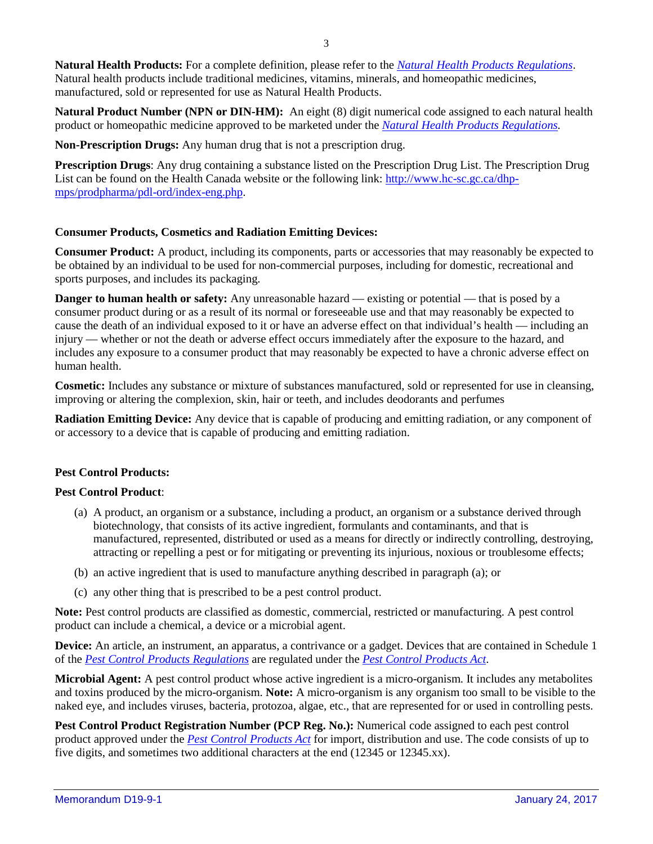**Natural Health Products:** For a complete definition, please refer to the *[Natural Health Products Regulations](http://laws-lois.justice.gc.ca/eng/regulations/sor-2003-196/)*. Natural health products include traditional medicines, vitamins, minerals, and homeopathic medicines, manufactured, sold or represented for use as Natural Health Products.

**Natural Product Number (NPN or DIN-HM):** An eight (8) digit numerical code assigned to each natural health product or homeopathic medicine approved to be marketed under the *[Natural Health Products Regulations.](http://laws-lois.justice.gc.ca/eng/regulations/sor-2003-196/)*

**Non-Prescription Drugs:** Any human drug that is not a prescription drug.

**Prescription Drugs**: Any drug containing a substance listed on the Prescription Drug List. The Prescription Drug List can be found on the Health Canada website or the following link: [http://www.hc-sc.gc.ca/dhp](http://www.hc-sc.gc.ca/dhp-mps/prodpharma/pdl-ord/index-eng.php)[mps/prodpharma/pdl-ord/index-eng.php.](http://www.hc-sc.gc.ca/dhp-mps/prodpharma/pdl-ord/index-eng.php)

#### **Consumer Products, Cosmetics and Radiation Emitting Devices:**

**Consumer Product:** A product, including its components, parts or accessories that may reasonably be expected to be obtained by an individual to be used for non-commercial purposes, including for domestic, recreational and sports purposes, and includes its packaging.

**Danger to human health or safety:** Any unreasonable hazard — existing or potential — that is posed by a consumer product during or as a result of its normal or foreseeable use and that may reasonably be expected to cause the death of an individual exposed to it or have an adverse effect on that individual's health — including an injury — whether or not the death or adverse effect occurs immediately after the exposure to the hazard, and includes any exposure to a consumer product that may reasonably be expected to have a chronic adverse effect on human health.

**Cosmetic:** Includes any substance or mixture of substances manufactured, sold or represented for use in cleansing, improving or altering the complexion, skin, hair or teeth, and includes deodorants and perfumes

**Radiation Emitting Device:** Any device that is capable of producing and emitting radiation, or any component of or accessory to a device that is capable of producing and emitting radiation.

#### **Pest Control Products:**

#### **Pest Control Product**:

- (a) A product, an organism or a substance, including a product, an organism or a substance derived through biotechnology, that consists of its active ingredient, formulants and contaminants, and that is manufactured, represented, distributed or used as a means for directly or indirectly controlling, destroying, attracting or repelling a pest or for mitigating or preventing its injurious, noxious or troublesome effects;
- (b) an active ingredient that is used to manufacture anything described in paragraph (a); or
- (c) any other thing that is prescribed to be a pest control product.

**Note:** Pest control products are classified as domestic, commercial, restricted or manufacturing. A pest control product can include a chemical, a device or a microbial agent.

**Device:** An article, an instrument, an apparatus, a contrivance or a gadget. Devices that are contained in Schedule 1 of the *[Pest Control Products Regulations](http://www.laws-lois.justice.gc.ca/eng/regulations/SOR-2006-124/)* are regulated under the *[Pest Control Products Act](http://laws-lois.justice.gc.ca/eng/acts/P-9.01/)*.

**Microbial Agent:** A pest control product whose active ingredient is a micro-organism. It includes any metabolites and toxins produced by the micro-organism. **Note:** A micro-organism is any organism too small to be visible to the naked eye, and includes viruses, bacteria, protozoa, algae, etc., that are represented for or used in controlling pests.

**Pest Control Product Registration Number (PCP Reg. No.):** Numerical code assigned to each pest control product approved under the *[Pest Control Products Act](http://laws-lois.justice.gc.ca/eng/acts/P-9.01/)* for import, distribution and use. The code consists of up to five digits, and sometimes two additional characters at the end (12345 or 12345.xx).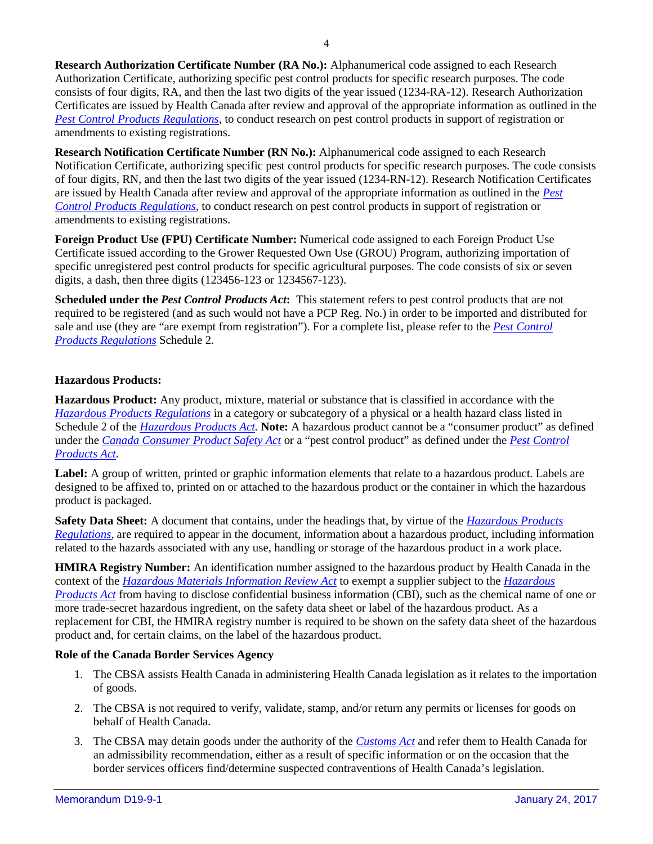**Research Authorization Certificate Number (RA No.):** Alphanumerical code assigned to each Research Authorization Certificate, authorizing specific pest control products for specific research purposes. The code consists of four digits, RA, and then the last two digits of the year issued (1234-RA-12). Research Authorization Certificates are issued by Health Canada after review and approval of the appropriate information as outlined in the *[Pest Control Products Regulations](http://laws-lois.justice.gc.ca/eng/regulations/SOR-2006-124/)*, to conduct research on pest control products in support of registration or amendments to existing registrations.

**Research Notification Certificate Number (RN No.):** Alphanumerical code assigned to each Research Notification Certificate, authorizing specific pest control products for specific research purposes. The code consists of four digits, RN, and then the last two digits of the year issued (1234-RN-12). Research Notification Certificates are issued by Health Canada after review and approval of the appropriate information as outlined in the *[Pest](http://laws-lois.justice.gc.ca/eng/regulations/SOR-2006-124/)  [Control Products Regulations](http://laws-lois.justice.gc.ca/eng/regulations/SOR-2006-124/)*, to conduct research on pest control products in support of registration or amendments to existing registrations.

**Foreign Product Use (FPU) Certificate Number:** Numerical code assigned to each Foreign Product Use Certificate issued according to the Grower Requested Own Use (GROU) Program, authorizing importation of specific unregistered pest control products for specific agricultural purposes. The code consists of six or seven digits, a dash, then three digits (123456-123 or 1234567-123).

**Scheduled under the** *Pest Control Products Act***:** This statement refers to pest control products that are not required to be registered (and as such would not have a PCP Reg. No.) in order to be imported and distributed for sale and use (they are "are exempt from registration"). For a complete list, please refer to the *[Pest Control](http://laws-lois.justice.gc.ca/eng/regulations/SOR-2006-124/)  [Products Regulations](http://laws-lois.justice.gc.ca/eng/regulations/SOR-2006-124/)* Schedule 2.

## **Hazardous Products:**

**Hazardous Product:** Any product, mixture, material or substance that is classified in accordance with the *[Hazardous Products Regulations](http://laws-lois.justice.gc.ca/eng/regulations/SOR-2015-17/)* in a category or subcategory of a physical or a health hazard class listed in Schedule 2 of the *[Hazardous Products Act.](http://laws-lois.justice.gc.ca/eng/acts/H-3/)* **Note:** A hazardous product cannot be a "consumer product" as defined under the *[Canada Consumer Product Safety Act](http://laws-lois.justice.gc.ca/eng/acts/c-1.68/)* or a "pest control product" as defined under the *[Pest Control](http://laws-lois.justice.gc.ca/eng/acts/P-9.01/)  [Products Act.](http://laws-lois.justice.gc.ca/eng/acts/P-9.01/)*

**Label:** A group of written, printed or graphic information elements that relate to a hazardous product. Labels are designed to be affixed to, printed on or attached to the hazardous product or the container in which the hazardous product is packaged.

**Safety Data Sheet:** A document that contains, under the headings that, by virtue of the *[Hazardous Products](http://laws-lois.justice.gc.ca/eng/regulations/SOR-2015-17/)  [Regulations,](http://laws-lois.justice.gc.ca/eng/regulations/SOR-2015-17/)* are required to appear in the document, information about a hazardous product, including information related to the hazards associated with any use, handling or storage of the hazardous product in a work place.

**HMIRA Registry Number:** An identification number assigned to the hazardous product by Health Canada in the context of the *[Hazardous Materials Information Review Act](http://laws-lois.justice.gc.ca/eng/acts/H-2.7/)* to exempt a supplier subject to the *[Hazardous](http://laws-lois.justice.gc.ca/eng/acts/H-3/)  [Products Act](http://laws-lois.justice.gc.ca/eng/acts/H-3/)* from having to disclose confidential business information (CBI), such as the chemical name of one or more trade-secret hazardous ingredient, on the safety data sheet or label of the hazardous product. As a replacement for CBI, the HMIRA registry number is required to be shown on the safety data sheet of the hazardous product and, for certain claims, on the label of the hazardous product.

## **Role of the Canada Border Services Agency**

- 1. The CBSA assists Health Canada in administering Health Canada legislation as it relates to the importation of goods.
- 2. The CBSA is not required to verify, validate, stamp, and/or return any permits or licenses for goods on behalf of Health Canada.
- 3. The CBSA may detain goods under the authority of the *[Customs Act](http://laws-lois.justice.gc.ca/eng/acts/C-52.6/)* and refer them to Health Canada for an admissibility recommendation, either as a result of specific information or on the occasion that the border services officers find/determine suspected contraventions of Health Canada's legislation.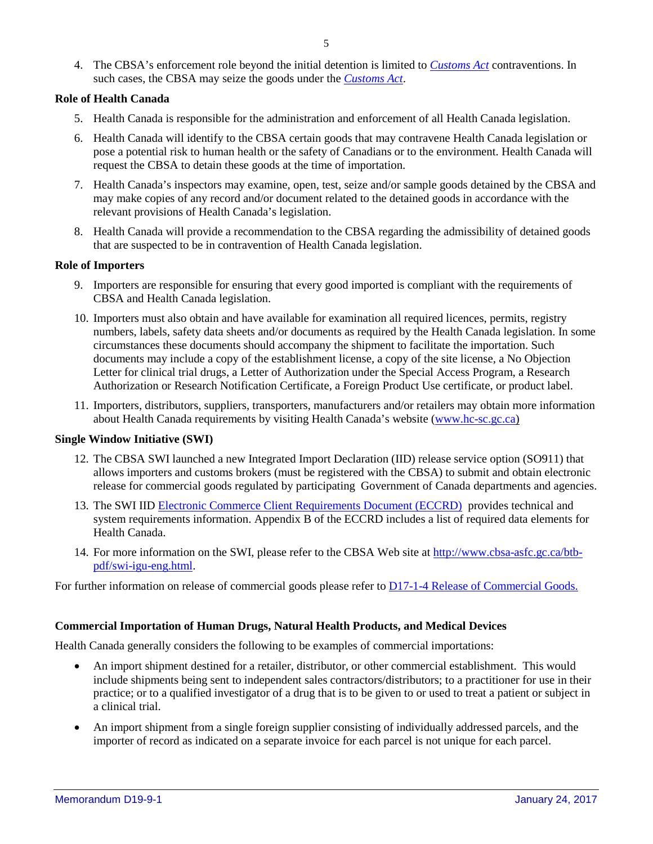4. The CBSA's enforcement role beyond the initial detention is limited to *[Customs Act](http://laws-lois.justice.gc.ca/eng/acts/C-52.6/)* contraventions. In such cases, the CBSA may seize the goods under the *[Customs Act](http://laws-lois.justice.gc.ca/eng/acts/C-52.6/)*.

#### **Role of Health Canada**

- 5. Health Canada is responsible for the administration and enforcement of all Health Canada legislation.
- 6. Health Canada will identify to the CBSA certain goods that may contravene Health Canada legislation or pose a potential risk to human health or the safety of Canadians or to the environment. Health Canada will request the CBSA to detain these goods at the time of importation.
- 7. Health Canada's inspectors may examine, open, test, seize and/or sample goods detained by the CBSA and may make copies of any record and/or document related to the detained goods in accordance with the relevant provisions of Health Canada's legislation.
- 8. Health Canada will provide a recommendation to the CBSA regarding the admissibility of detained goods that are suspected to be in contravention of Health Canada legislation.

#### **Role of Importers**

- 9. Importers are responsible for ensuring that every good imported is compliant with the requirements of CBSA and Health Canada legislation.
- 10. Importers must also obtain and have available for examination all required licences, permits, registry numbers, labels, safety data sheets and/or documents as required by the Health Canada legislation. In some circumstances these documents should accompany the shipment to facilitate the importation. Such documents may include a copy of the establishment license, a copy of the site license, a No Objection Letter for clinical trial drugs, a Letter of Authorization under the Special Access Program, a Research Authorization or Research Notification Certificate, a Foreign Product Use certificate, or product label.
- 11. Importers, distributors, suppliers, transporters, manufacturers and/or retailers may obtain more information about Health Canada requirements by visiting Health Canada's website [\(www.hc-sc.gc.ca\)](http://www.hc-sc.gc.ca/)

#### **Single Window Initiative (SWI)**

- 12. The CBSA SWI launched a new Integrated Import Declaration (IID) release service option (SO911) that allows importers and customs brokers (must be registered with the CBSA) to submit and obtain electronic release for commercial goods regulated by participating Government of Canada departments and agencies.
- 13. The SWI IID [Electronic Commerce Client Requirements Document \(ECCRD\)](http://cbsa.gc.ca/eservices/eccrd-eng.html) provides technical and system requirements information. Appendix B of the ECCRD includes a list of required data elements for Health Canada.
- 14. For more information on the SWI, please refer to the CBSA Web site at [http://www.cbsa-asfc.gc.ca/btb](http://www.cbsa-asfc.gc.ca/btb-pdf/swi-igu-eng.html)[pdf/swi-igu-eng.html.](http://www.cbsa-asfc.gc.ca/btb-pdf/swi-igu-eng.html)

For further information on release of commercial goods please refer to **D17-1-4 Release of Commercial Goods.** 

#### **Commercial Importation of Human Drugs, Natural Health Products, and Medical Devices**

Health Canada generally considers the following to be examples of commercial importations:

- An import shipment destined for a retailer, distributor, or other commercial establishment. This would include shipments being sent to independent sales contractors/distributors; to a practitioner for use in their practice; or to a qualified investigator of a drug that is to be given to or used to treat a patient or subject in a clinical trial.
- An import shipment from a single foreign supplier consisting of individually addressed parcels, and the importer of record as indicated on a separate invoice for each parcel is not unique for each parcel.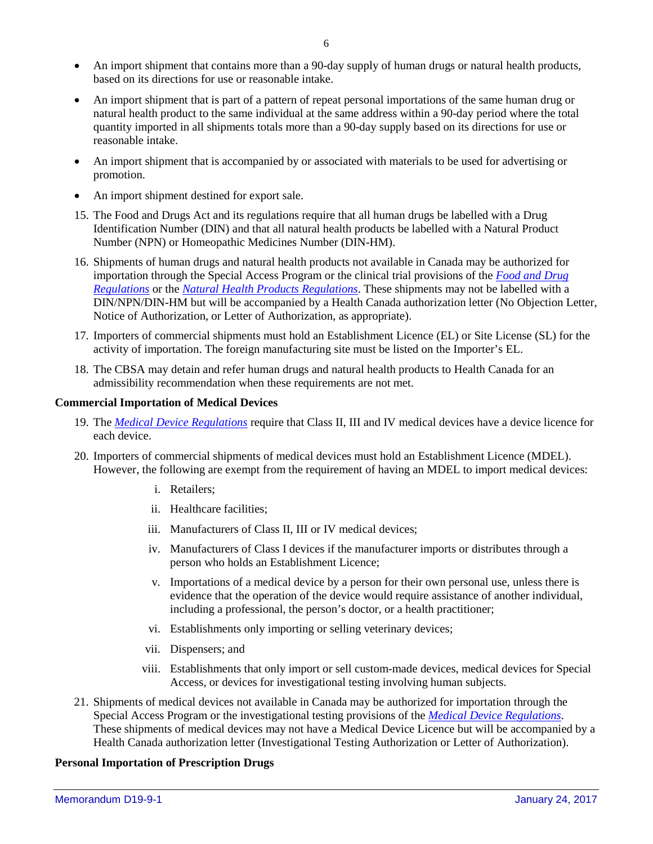- An import shipment that contains more than a 90-day supply of human drugs or natural health products, based on its directions for use or reasonable intake.
- An import shipment that is part of a pattern of repeat personal importations of the same human drug or natural health product to the same individual at the same address within a 90-day period where the total quantity imported in all shipments totals more than a 90-day supply based on its directions for use or reasonable intake.
- An import shipment that is accompanied by or associated with materials to be used for advertising or promotion.
- An import shipment destined for export sale.
- 15. The [Food and Drugs Act](http://laws-lois.justice.gc.ca/eng/acts/f-27/) and its regulations require that all human drugs be labelled with a Drug Identification Number (DIN) and that all natural health products be labelled with a Natural Product Number (NPN) or Homeopathic Medicines Number (DIN-HM).
- 16. Shipments of human drugs and natural health products not available in Canada may be authorized for importation through the Special Access Program or the clinical trial provisions of the *[Food and Drug](http://laws-lois.justice.gc.ca/eng/regulations/C.R.C.%2C_c._870/)  [Regulations](http://laws-lois.justice.gc.ca/eng/regulations/C.R.C.%2C_c._870/)* or the *[Natural Health Products Regulations](http://laws-lois.justice.gc.ca/eng/regulations/sor-2003-196/)*. These shipments may not be labelled with a DIN/NPN/DIN-HM but will be accompanied by a Health Canada authorization letter (No Objection Letter, Notice of Authorization, or Letter of Authorization, as appropriate).
- 17. Importers of commercial shipments must hold an Establishment Licence (EL) or Site License (SL) for the activity of importation. The foreign manufacturing site must be listed on the Importer's EL.
- 18. The CBSA may detain and refer human drugs and natural health products to Health Canada for an admissibility recommendation when these requirements are not met.

#### **Commercial Importation of Medical Devices**

- 19. The *[Medical Device Regulations](http://laws-lois.justice.gc.ca/eng/regulations/sor-98-282/)* require that Class II, III and IV medical devices have a device licence for each device.
- 20. Importers of commercial shipments of medical devices must hold an Establishment Licence (MDEL). However, the following are exempt from the requirement of having an MDEL to import medical devices:
	- i. Retailers;
	- ii. Healthcare facilities;
	- iii. Manufacturers of Class II, III or IV medical devices;
	- iv. Manufacturers of Class I devices if the manufacturer imports or distributes through a person who holds an Establishment Licence;
	- v. Importations of a medical device by a person for their own personal use, unless there is evidence that the operation of the device would require assistance of another individual, including a professional, the person's doctor, or a health practitioner;
	- vi. Establishments only importing or selling veterinary devices;
	- vii. Dispensers; and
	- viii. Establishments that only import or sell custom-made devices, medical devices for Special Access, or devices for investigational testing involving human subjects.
- 21. Shipments of medical devices not available in Canada may be authorized for importation through the Special Access Program or the investigational testing provisions of the *[Medical Device Regulations](http://laws-lois.justice.gc.ca/eng/regulations/sor-98-282/)*. These shipments of medical devices may not have a Medical Device Licence but will be accompanied by a Health Canada authorization letter (Investigational Testing Authorization or Letter of Authorization).

## **Personal Importation of Prescription Drugs**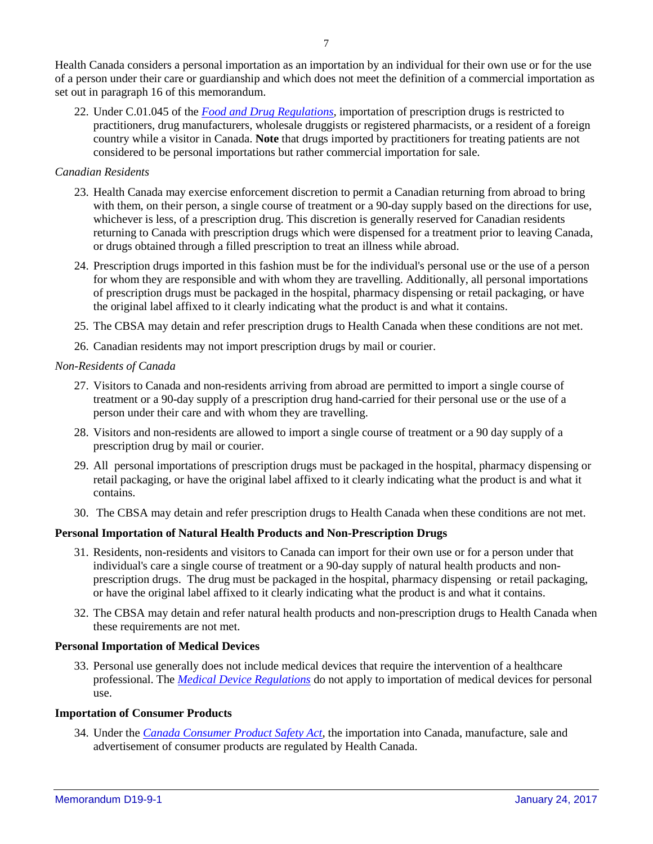Health Canada considers a personal importation as an importation by an individual for their own use or for the use of a person under their care or guardianship and which does not meet the definition of a commercial importation as set out in paragraph 16 of this memorandum.

22. Under C.01.045 of the *[Food and Drug Regulations,](http://laws-lois.justice.gc.ca/eng/regulations/c.r.c.,_c._870/)* importation of prescription drugs is restricted to practitioners, drug manufacturers, wholesale druggists or registered pharmacists, or a resident of a foreign country while a visitor in Canada. **Note** that drugs imported by practitioners for treating patients are not considered to be personal importations but rather commercial importation for sale.

#### *Canadian Residents*

- 23. Health Canada may exercise enforcement discretion to permit a Canadian returning from abroad to bring with them, on their person, a single course of treatment or a 90-day supply based on the directions for use, whichever is less, of a prescription drug. This discretion is generally reserved for Canadian residents returning to Canada with prescription drugs which were dispensed for a treatment prior to leaving Canada, or drugs obtained through a filled prescription to treat an illness while abroad.
- 24. Prescription drugs imported in this fashion must be for the individual's personal use or the use of a person for whom they are responsible and with whom they are travelling. Additionally, all personal importations of prescription drugs must be packaged in the hospital, pharmacy dispensing or retail packaging, or have the original label affixed to it clearly indicating what the product is and what it contains.
- 25. The CBSA may detain and refer prescription drugs to Health Canada when these conditions are not met.
- 26. Canadian residents may not import prescription drugs by mail or courier.

#### *Non-Residents of Canada*

- 27. Visitors to Canada and non-residents arriving from abroad are permitted to import a single course of treatment or a 90-day supply of a prescription drug hand-carried for their personal use or the use of a person under their care and with whom they are travelling.
- 28. Visitors and non-residents are allowed to import a single course of treatment or a 90 day supply of a prescription drug by mail or courier.
- 29. All personal importations of prescription drugs must be packaged in the hospital, pharmacy dispensing or retail packaging, or have the original label affixed to it clearly indicating what the product is and what it contains.
- 30. The CBSA may detain and refer prescription drugs to Health Canada when these conditions are not met.

## **Personal Importation of Natural Health Products and Non-Prescription Drugs**

- 31. Residents, non-residents and visitors to Canada can import for their own use or for a person under that individual's care a single course of treatment or a 90-day supply of natural health products and nonprescription drugs. The drug must be packaged in the hospital, pharmacy dispensing or retail packaging, or have the original label affixed to it clearly indicating what the product is and what it contains.
- 32. The CBSA may detain and refer natural health products and non-prescription drugs to Health Canada when these requirements are not met.

#### **Personal Importation of Medical Devices**

33. Personal use generally does not include medical devices that require the intervention of a healthcare professional. The *[Medical Device Regulations](http://laws-lois.justice.gc.ca/eng/regulations/sor-98-282/)* do not apply to importation of medical devices for personal use.

#### **Importation of Consumer Products**

34. Under the *[Canada Consumer Product Safety Act](http://laws-lois.justice.gc.ca/eng/acts/c-1.68/)*, the importation into Canada, manufacture, sale and advertisement of consumer products are regulated by Health Canada.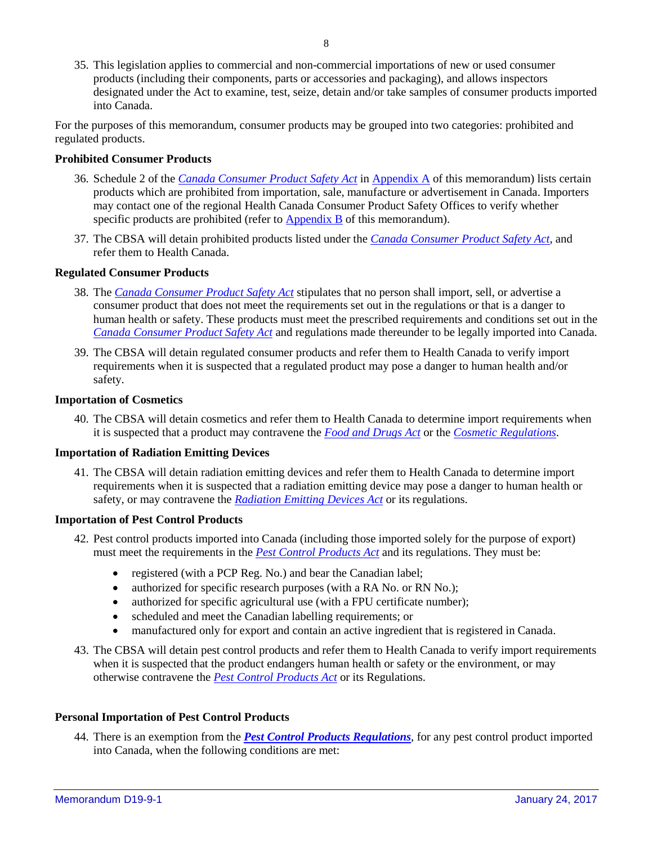35. This legislation applies to commercial and non-commercial importations of new or used consumer products (including their components, parts or accessories and packaging), and allows inspectors designated under the Act to examine, test, seize, detain and/or take samples of consumer products imported into Canada.

For the purposes of this memorandum, consumer products may be grouped into two categories: prohibited and regulated products.

## **Prohibited Consumer Products**

- 36. Schedule 2 of the *[Canada Consumer Product Safety Act](http://laws-lois.justice.gc.ca/eng/acts/c-1.68/)* in [Appendix](#page-9-0) A of this memorandum) lists certain products which are prohibited from importation, sale, manufacture or advertisement in Canada. Importers may contact one of the regional Health Canada Consumer Product Safety Offices to verify whether specific products are prohibited (refer to [Appendix](#page-11-0) B of this memorandum).
- 37. The CBSA will detain prohibited products listed under the *[Canada Consumer Product Safety Act](http://laws-lois.justice.gc.ca/eng/acts/c-1.68/)*, and refer them to Health Canada.

#### **Regulated Consumer Products**

- 38. The *[Canada Consumer Product Safety Act](http://laws-lois.justice.gc.ca/eng/acts/c-1.68/)* stipulates that no person shall import, sell, or advertise a consumer product that does not meet the requirements set out in the regulations or that is a danger to human health or safety. These products must meet the prescribed requirements and conditions set out in the *[Canada Consumer Product Safety Act](http://laws-lois.justice.gc.ca/eng/acts/c-1.68/)* and regulations made thereunder to be legally imported into Canada.
- 39. The CBSA will detain regulated consumer products and refer them to Health Canada to verify import requirements when it is suspected that a regulated product may pose a danger to human health and/or safety.

#### **Importation of Cosmetics**

40. The CBSA will detain cosmetics and refer them to Health Canada to determine import requirements when it is suspected that a product may contravene the *[Food and Drugs Act](http://laws-lois.justice.gc.ca/eng/acts/F-27/)* or the *[Cosmetic Regulations](http://laws-lois.justice.gc.ca/eng/regulations/C.R.C.,_c._869/)*.

#### **Importation of Radiation Emitting Devices**

41. The CBSA will detain radiation emitting devices and refer them to Health Canada to determine import requirements when it is suspected that a radiation emitting device may pose a danger to human health or safety, or may contravene the *[Radiation Emitting Devices Act](http://laws-lois.justice.gc.ca/eng/acts/R-1/)* or its regulations.

#### **Importation of Pest Control Products**

- 42. Pest control products imported into Canada (including those imported solely for the purpose of export) must meet the requirements in the *[Pest Control Products Act](http://laws-lois.justice.gc.ca/eng/acts/P-9.01/)* and its regulations. They must be:
	- registered (with a PCP Reg. No.) and bear the Canadian label;
	- authorized for specific research purposes (with a RA No. or RN No.);
	- authorized for specific agricultural use (with a FPU certificate number);
	- scheduled and meet the Canadian labelling requirements; or
	- manufactured only for export and contain an active ingredient that is registered in Canada.
- 43. The CBSA will detain pest control products and refer them to Health Canada to verify import requirements when it is suspected that the product endangers human health or safety or the environment, or may otherwise contravene the *[Pest Control Products Act](http://laws-lois.justice.gc.ca/eng/acts/P-9.01/)* or its Regulations.

#### **Personal Importation of Pest Control Products**

44. There is an exemption from the *[Pest Control Products Regulations](http://laws-lois.justice.gc.ca/eng/regulations/sor-2006-124/)*, for any pest control product imported into Canada, when the following conditions are met: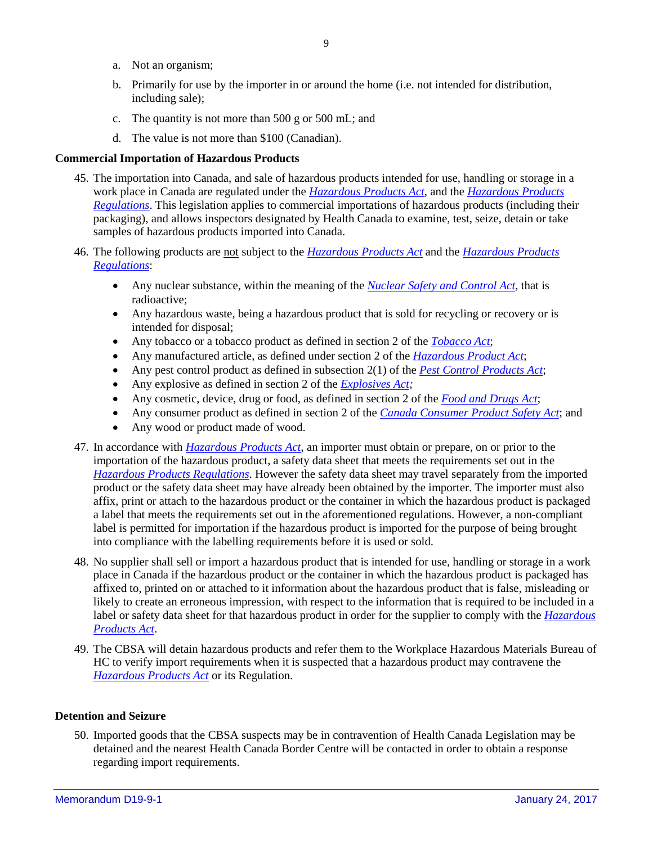- a. Not an organism;
- b. Primarily for use by the importer in or around the home (i.e. not intended for distribution, including sale);
- c. The quantity is not more than 500 g or 500 mL; and
- d. The value is not more than \$100 (Canadian).

#### **Commercial Importation of Hazardous Products**

- 45. The importation into Canada, and sale of hazardous products intended for use, handling or storage in a work place in Canada are regulated under the *[Hazardous Products Act](http://laws-lois.justice.gc.ca/eng/acts/H-3/)*, and the *[Hazardous Products](http://laws-lois.justice.gc.ca/eng/regulations/SOR-2015-17/)  [Regulations](http://laws-lois.justice.gc.ca/eng/regulations/SOR-2015-17/)*. This legislation applies to commercial importations of hazardous products (including their packaging), and allows inspectors designated by Health Canada to examine, test, seize, detain or take samples of hazardous products imported into Canada.
- 46. The following products are not subject to the *[Hazardous Products Act](http://laws-lois.justice.gc.ca/eng/acts/H-3/)* and the *[Hazardous Products](http://laws-lois.justice.gc.ca/eng/regulations/SOR-2015-17/)  [Regulations](http://laws-lois.justice.gc.ca/eng/regulations/SOR-2015-17/)*:
	- Any nuclear substance, within the meaning of the *[Nuclear Safety and Control Act](http://laws-lois.justice.gc.ca/eng/acts/N-28.3/)*, that is radioactive;
	- Any hazardous waste, being a hazardous product that is sold for recycling or recovery or is intended for disposal;
	- Any tobacco or a tobacco product as defined in section 2 of the *[Tobacco Act](http://laws-lois.justice.gc.ca/eng/acts/T-11.5/)*;
	- Any manufactured article, as defined under section 2 of the *[Hazardous Product Act](http://laws-lois.justice.gc.ca/eng/acts/H-3/)*;
	- Any pest control product as defined in subsection 2(1) of the *[Pest Control Products Act](http://laws-lois.justice.gc.ca/eng/acts/P-9.01/)*;
	- Any explosive as defined in section 2 of the *[Explosives Act;](http://laws-lois.justice.gc.ca/eng/acts/E-17/)*
	- Any cosmetic, device, drug or food, as defined in section 2 of the *[Food and Drugs Act](http://laws-lois.justice.gc.ca/eng/acts/F-27/)*;
	- Any consumer product as defined in section 2 of the *[Canada Consumer Product Safety Act](http://laws-lois.justice.gc.ca/eng/acts/C-1.68/)*; and
	- Any wood or product made of wood.
- 47. In accordance with *[Hazardous Products Act](http://laws-lois.justice.gc.ca/eng/acts/H-3/)*, an importer must obtain or prepare, on or prior to the importation of the hazardous product, a safety data sheet that meets the requirements set out in the *[Hazardous Products Regulations](http://laws-lois.justice.gc.ca/eng/regulations/SOR-2015-17/)*. However the safety data sheet may travel separately from the imported product or the safety data sheet may have already been obtained by the importer. The importer must also affix, print or attach to the hazardous product or the container in which the hazardous product is packaged a label that meets the requirements set out in the aforementioned regulations. However, a non-compliant label is permitted for importation if the hazardous product is imported for the purpose of being brought into compliance with the labelling requirements before it is used or sold.
- 48. No supplier shall sell or import a hazardous product that is intended for use, handling or storage in a work place in Canada if the hazardous product or the container in which the hazardous product is packaged has affixed to, printed on or attached to it information about the hazardous product that is false, misleading or likely to create an erroneous impression, with respect to the information that is required to be included in a label or safety data sheet for that hazardous product in order for the supplier to comply with the *[Hazardous](http://laws-lois.justice.gc.ca/eng/acts/H-3/)  [Products Act](http://laws-lois.justice.gc.ca/eng/acts/H-3/)*.
- 49. The CBSA will detain hazardous products and refer them to the Workplace Hazardous Materials Bureau of HC to verify import requirements when it is suspected that a hazardous product may contravene the *[Hazardous Products Act](http://laws-lois.justice.gc.ca/eng/acts/H-3/)* or its Regulation.

#### **Detention and Seizure**

50. Imported goods that the CBSA suspects may be in contravention of Health Canada Legislation may be detained and the nearest Health Canada Border Centre will be contacted in order to obtain a response regarding import requirements.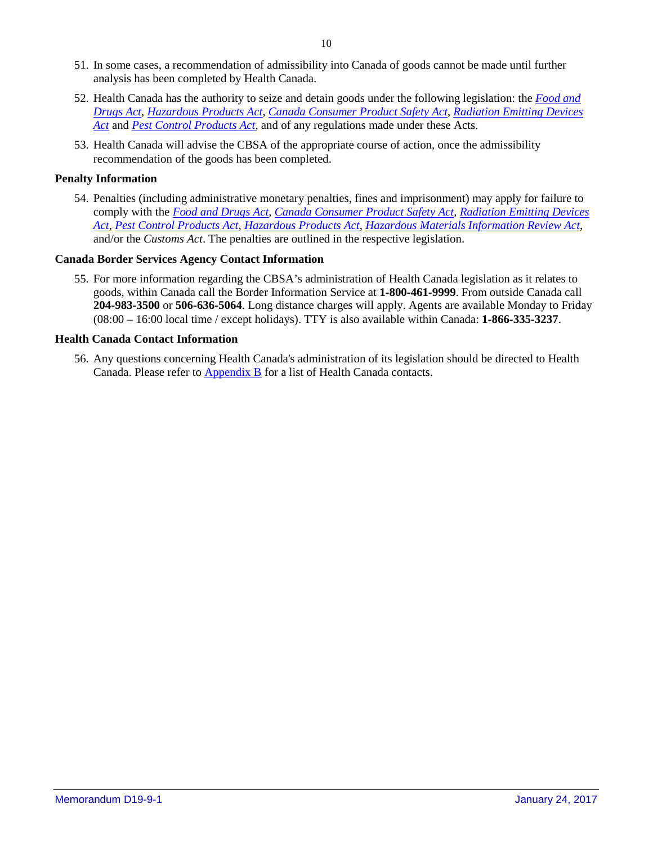- 51. In some cases, a recommendation of admissibility into Canada of goods cannot be made until further analysis has been completed by Health Canada.
- 52. Health Canada has the authority to seize and detain goods under the following legislation: the *[Food and](http://laws-lois.justice.gc.ca/eng/acts/F-27/)  [Drugs Act](http://laws-lois.justice.gc.ca/eng/acts/F-27/)*, *[Hazardous Products Act](http://laws-lois.justice.gc.ca/eng/acts/H-3/)*, *[Canada Consumer Product Safety Act](http://laws-lois.justice.gc.ca/eng/acts/c-1.68/)*, *[Radiation Emitting Devices](http://laws-lois.justice.gc.ca/eng/acts/R-1/)  [Act](http://laws-lois.justice.gc.ca/eng/acts/R-1/)* and *[Pest Control Products Act](http://laws-lois.justice.gc.ca/eng/acts/P-9.01/)*, and of any regulations made under these Acts.
- 53. Health Canada will advise the CBSA of the appropriate course of action, once the admissibility recommendation of the goods has been completed.

## **Penalty Information**

54. Penalties (including administrative monetary penalties, fines and imprisonment) may apply for failure to comply with the *[Food and Drugs Act](http://laws-lois.justice.gc.ca/eng/acts/F-27/)*, *[Canada Consumer Product Safety Act](http://laws-lois.justice.gc.ca/eng/acts/c-1.68/)*, *[Radiation Emitting Devices](http://laws-lois.justice.gc.ca/eng/acts/R-1/)  [Act](http://laws-lois.justice.gc.ca/eng/acts/R-1/)*, *[Pest Control Products Act](http://laws-lois.justice.gc.ca/eng/acts/P-9.01/)*, *[Hazardous Products Act](http://laws-lois.justice.gc.ca/eng/acts/H-3/)*, *[Hazardous Materials Information Review Act](http://laws-lois.justice.gc.ca/eng/acts/H-2.7/)*, and/or the *Customs Act*. The penalties are outlined in the respective legislation.

## **Canada Border Services Agency Contact Information**

55. For more information regarding the CBSA's administration of Health Canada legislation as it relates to goods, within Canada call the Border Information Service at **1-800-461-9999**. From outside Canada call **204-983-3500** or **506-636-5064**. Long distance charges will apply. Agents are available Monday to Friday (08:00 – 16:00 local time / except holidays). TTY is also available within Canada: **1-866-335-3237**.

#### **Health Canada Contact Information**

<span id="page-9-0"></span>56. Any questions concerning Health Canada's administration of its legislation should be directed to Health Canada. Please refer to  $\Delta$ ppendix  $\overline{B}$  for a list of Health Canada contacts.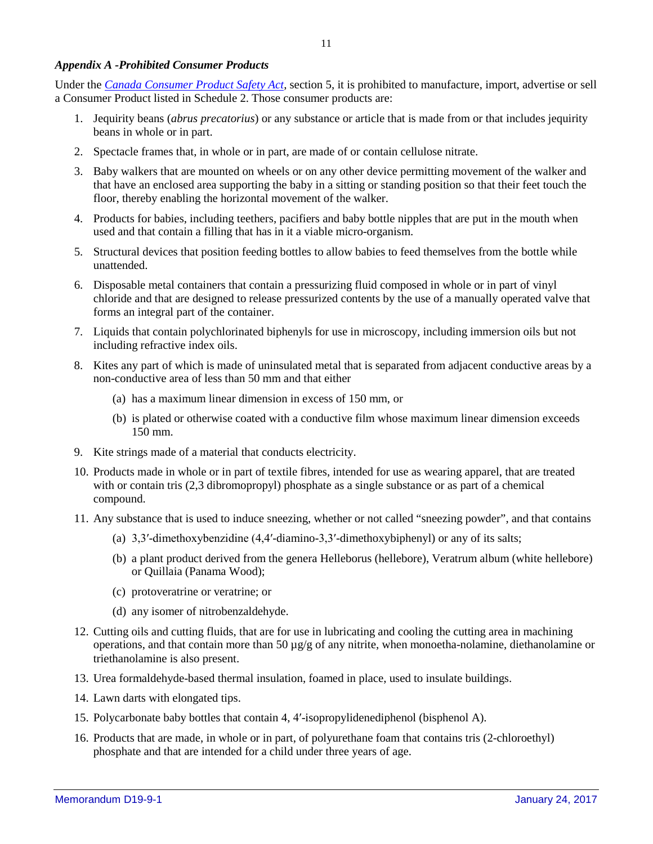#### *Appendix A -Prohibited Consumer Products*

Under the *[Canada Consumer Product Safety Act](http://laws-lois.justice.gc.ca/eng/acts/c-1.68/)*, section 5, it is prohibited to manufacture, import, advertise or sell a Consumer Product listed in Schedule 2. Those consumer products are:

- 1. Jequirity beans (*abrus precatorius*) or any substance or article that is made from or that includes jequirity beans in whole or in part.
- 2. Spectacle frames that, in whole or in part, are made of or contain cellulose nitrate.
- 3. Baby walkers that are mounted on wheels or on any other device permitting movement of the walker and that have an enclosed area supporting the baby in a sitting or standing position so that their feet touch the floor, thereby enabling the horizontal movement of the walker.
- 4. Products for babies, including teethers, pacifiers and baby bottle nipples that are put in the mouth when used and that contain a filling that has in it a viable micro-organism.
- 5. Structural devices that position feeding bottles to allow babies to feed themselves from the bottle while unattended.
- 6. Disposable metal containers that contain a pressurizing fluid composed in whole or in part of vinyl chloride and that are designed to release pressurized contents by the use of a manually operated valve that forms an integral part of the container.
- 7. Liquids that contain polychlorinated biphenyls for use in microscopy, including immersion oils but not including refractive index oils.
- 8. Kites any part of which is made of uninsulated metal that is separated from adjacent conductive areas by a non-conductive area of less than 50 mm and that either
	- (a) has a maximum linear dimension in excess of 150 mm, or
	- (b) is plated or otherwise coated with a conductive film whose maximum linear dimension exceeds 150 mm.
- 9. Kite strings made of a material that conducts electricity.
- 10. Products made in whole or in part of textile fibres, intended for use as wearing apparel, that are treated with or contain tris (2,3 dibromopropyl) phosphate as a single substance or as part of a chemical compound.
- 11. Any substance that is used to induce sneezing, whether or not called "sneezing powder", and that contains
	- (a) 3,3′-dimethoxybenzidine (4,4′-diamino-3,3′-dimethoxybiphenyl) or any of its salts;
	- (b) a plant product derived from the genera Helleborus (hellebore), Veratrum album (white hellebore) or Quillaia (Panama Wood);
	- (c) protoveratrine or veratrine; or
	- (d) any isomer of nitrobenzaldehyde.
- 12. Cutting oils and cutting fluids, that are for use in lubricating and cooling the cutting area in machining operations, and that contain more than 50 µg/g of any nitrite, when monoetha-nolamine, diethanolamine or triethanolamine is also present.
- 13. Urea formaldehyde-based thermal insulation, foamed in place, used to insulate buildings.
- 14. Lawn darts with elongated tips.
- 15. Polycarbonate baby bottles that contain 4, 4′-isopropylidenediphenol (bisphenol A).
- 16. Products that are made, in whole or in part, of polyurethane foam that contains tris (2-chloroethyl) phosphate and that are intended for a child under three years of age.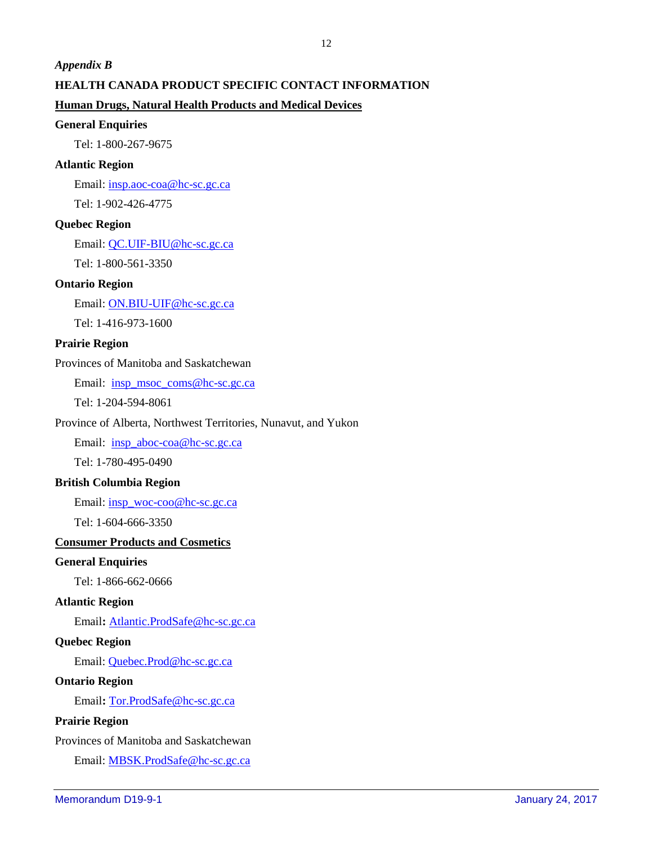#### <span id="page-11-0"></span>*Appendix B*

## **HEALTH CANADA PRODUCT SPECIFIC CONTACT INFORMATION**

## **Human Drugs, Natural Health Products and Medical Devices**

#### **General Enquiries**

Tel: 1-800-267-9675

## **Atlantic Region**

Email: [insp.aoc-coa@hc-sc.gc.ca](mailto:insp.aoc-coa@hc-sc.gc.ca) Tel: 1-902-426-4775

#### **Quebec Region**

Email: [QC.UIF-BIU@hc-sc.gc.ca](mailto:QC.UIF-BIU@hc-sc.gc.ca)

Tel: 1-800-561-3350

#### **Ontario Region**

Email: [ON.BIU-UIF@hc-sc.gc.ca](mailto:ON.BIU-UIF@hc-sc.gc.ca)

Tel: 1-416-973-1600

## **Prairie Region**

## Provinces of Manitoba and Saskatchewan

Email: [insp\\_msoc\\_coms@hc-sc.gc.ca](mailto:insp_msoc_coms@hc-sc.gc.ca)

Tel: 1-204-594-8061

## Province of Alberta, Northwest Territories, Nunavut, and Yukon

Email: [insp\\_aboc-coa@hc-sc.gc.ca](mailto:insp_aboc-coa@hc-sc.gc.ca)

Tel: 1-780-495-0490

## **British Columbia Region**

Email: [insp\\_woc-coo@hc-sc.gc.ca](mailto:insp_woc-coo@hc-sc.gc.ca)

Tel: 1-604-666-3350

## **Consumer Products and Cosmetics**

#### **General Enquiries**

Tel: 1-866-662-0666

## **Atlantic Region**

Email**:** [Atlantic.ProdSafe@hc-sc.gc.ca](mailto:Atlantic.ProdSafe@hc-sc.gc.ca)

#### **Quebec Region**

Email: [Quebec.Prod@hc-sc.gc.ca](mailto:Quebec.Prod@hc-sc.gc.ca)

#### **Ontario Region**

Email**:** [Tor.ProdSafe@hc-sc.gc.ca](mailto:Tor.ProdSafe@hc-sc.gc.ca)

## **Prairie Region**

Provinces of Manitoba and Saskatchewan

Email: [MBSK.ProdSafe@hc-sc.gc.ca](mailto:MBSK.ProdSafe@hc-sc.gc.ca)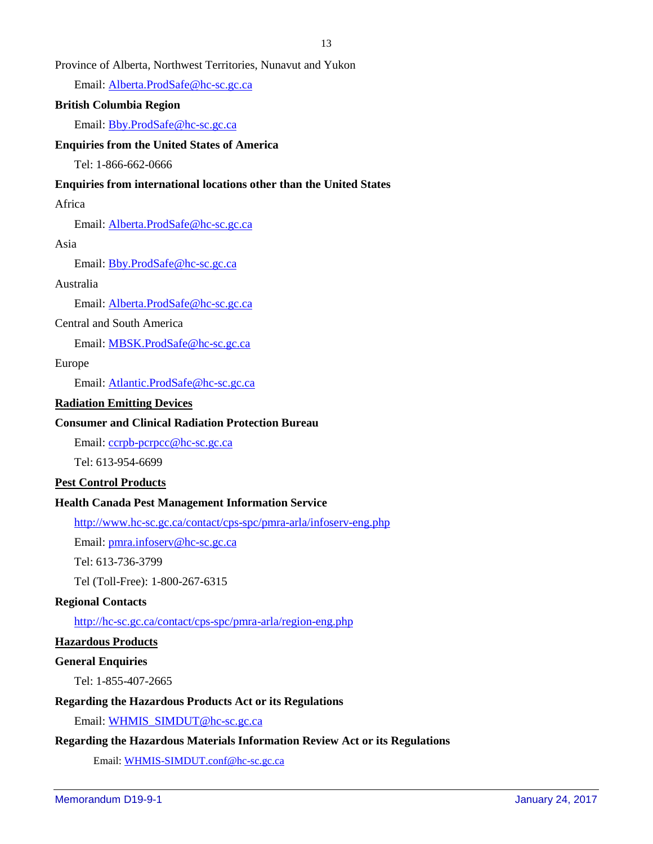## Province of Alberta, Northwest Territories, Nunavut and Yukon

Email: [Alberta.ProdSafe@hc-sc.gc.ca](mailto:Alberta.ProdSafe@hc-sc.gc.ca)

#### **British Columbia Region**

Email: [Bby.ProdSafe@hc-sc.gc.ca](mailto:Bby.ProdSafe@hc-sc.gc.ca)

#### **Enquiries from the United States of America**

Tel: 1-866-662-0666

#### **Enquiries from international locations other than the United States**

#### Africa

Email: [Alberta.ProdSafe@hc-sc.gc.ca](mailto:Alberta.ProdSafe@hc-sc.gc.ca)

#### Asia

Email: [Bby.ProdSafe@hc-sc.gc.ca](mailto:Bby.ProdSafe@hc-sc.gc.ca)

#### Australia

Email: [Alberta.ProdSafe@hc-sc.gc.ca](mailto:Alberta.ProdSafe@hc-sc.gc.ca)

## Central and South America

Email: [MBSK.ProdSafe@hc-sc.gc.ca](mailto:MBSK.ProdSafe@hc-sc.gc.ca)

#### Europe

Email: [Atlantic.ProdSafe@hc-sc.gc.ca](mailto:Atlantic.ProdSafe@hc-sc.gc.ca)

#### **Radiation Emitting Devices**

#### **Consumer and Clinical Radiation Protection Bureau**

Email: [ccrpb-pcrpcc@hc-sc.gc.ca](mailto:ccrpb-pcrpcc@hc-sc.gc.ca)

Tel: 613-954-6699

#### **Pest Control Products**

## **Health Canada Pest Management Information Service**

<http://www.hc-sc.gc.ca/contact/cps-spc/pmra-arla/infoserv-eng.php>

Email: [pmra.infoserv@hc-sc.gc.ca](mailto:pmra.infoserv@hc-sc.gc.ca)

Tel: 613-736-3799

Tel (Toll-Free): 1-800-267-6315

#### **Regional Contacts**

<http://hc-sc.gc.ca/contact/cps-spc/pmra-arla/region-eng.php>

#### **Hazardous Products**

## **General Enquiries**

Tel: 1-855-407-2665

#### **Regarding the Hazardous Products Act or its Regulations**

Email: [WHMIS\\_SIMDUT@hc-sc.gc.ca](mailto:WHMIS_SIMDUT@hc-sc.gc.ca)

#### **Regarding the Hazardous Materials Information Review Act or its Regulations**

Email: [WHMIS-SIMDUT.conf@hc-sc.gc.ca](mailto:WHMIS-SIMDUT.conf@hc-sc.gc.ca)